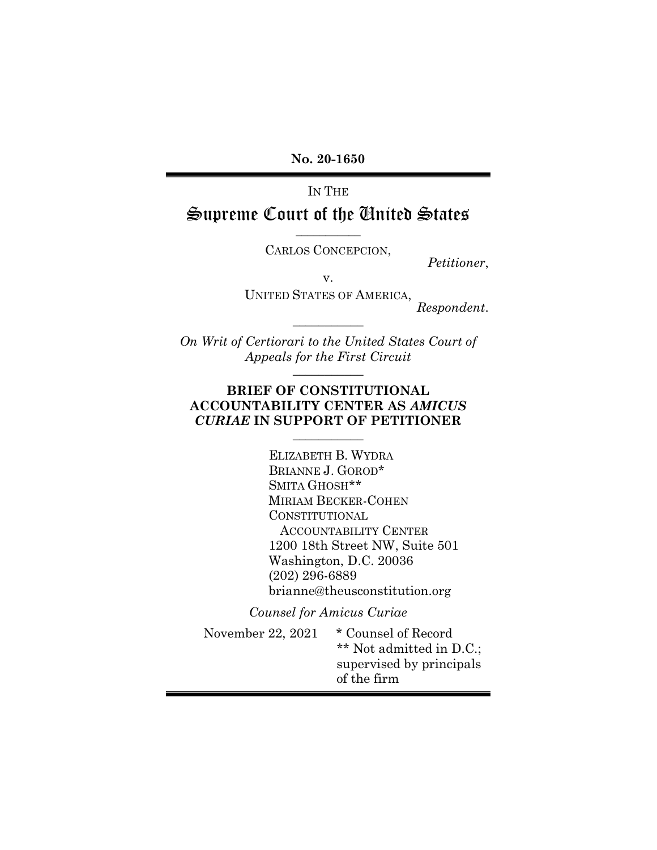No. 20-1650

IN THE

## Supreme Court of the United States  $\overline{\phantom{a}}$   $\overline{\phantom{a}}$   $\overline{\phantom{a}}$   $\overline{\phantom{a}}$   $\overline{\phantom{a}}$   $\overline{\phantom{a}}$   $\overline{\phantom{a}}$   $\overline{\phantom{a}}$   $\overline{\phantom{a}}$   $\overline{\phantom{a}}$   $\overline{\phantom{a}}$   $\overline{\phantom{a}}$   $\overline{\phantom{a}}$   $\overline{\phantom{a}}$   $\overline{\phantom{a}}$   $\overline{\phantom{a}}$   $\overline{\phantom{a}}$   $\overline{\phantom{a}}$   $\overline{\$

CARLOS CONCEPCION,

Petitioner,

v.

UNITED STATES OF AMERICA, Respondent.

On Writ of Certiorari to the United States Court of Appeals for the First Circuit  $\overline{\phantom{a}}$  , where  $\overline{\phantom{a}}$ 

 $\frac{1}{2}$ 

### BRIEF OF CONSTITUTIONAL ACCOUNTABILITY CENTER AS AMICUS CURIAE IN SUPPORT OF PETITIONER  $\overline{\phantom{a}}$  , where  $\overline{\phantom{a}}$

ELIZABETH B. WYDRA BRIANNE J. GOROD\* SMITA GHOSH\*\* MIRIAM BECKER-COHEN CONSTITUTIONAL ACCOUNTABILITY CENTER 1200 18th Street NW, Suite 501 Washington, D.C. 20036 (202) 296-6889 brianne@theusconstitution.org

Counsel for Amicus Curiae

November 22, 2021 \* Counsel of Record \*\* Not admitted in D.C.; supervised by principals of the firm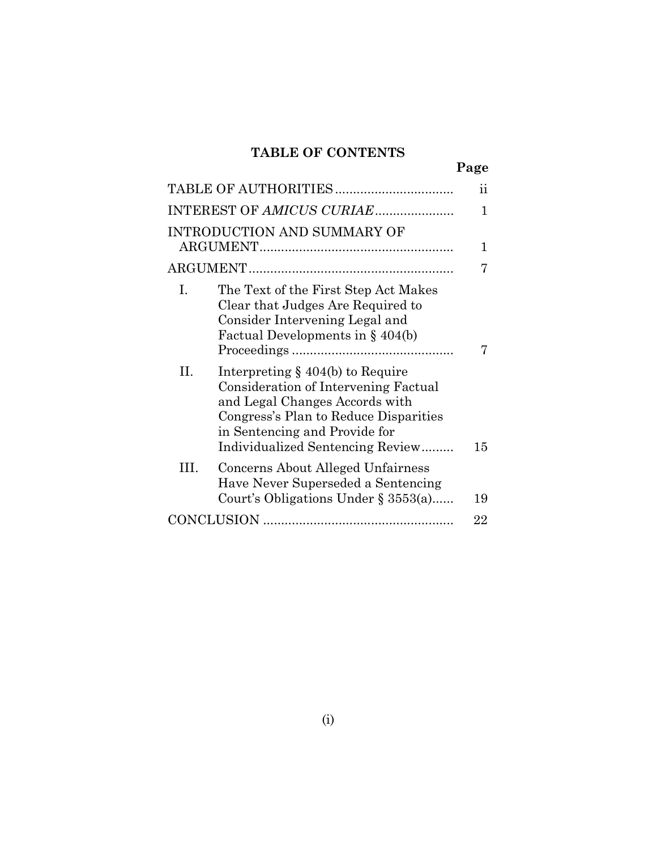# TABLE OF CONTENTS

|     |                                                                                                                                                                                                                             | Page            |
|-----|-----------------------------------------------------------------------------------------------------------------------------------------------------------------------------------------------------------------------------|-----------------|
|     |                                                                                                                                                                                                                             | $\ddot{\rm ii}$ |
|     | INTEREST OF AMICUS CURIAE                                                                                                                                                                                                   | 1               |
|     | <b>INTRODUCTION AND SUMMARY OF</b>                                                                                                                                                                                          | 1               |
|     |                                                                                                                                                                                                                             |                 |
|     |                                                                                                                                                                                                                             |                 |
| L.  | The Text of the First Step Act Makes<br>Clear that Judges Are Required to<br>Consider Intervening Legal and<br>Factual Developments in $§$ 404(b)                                                                           |                 |
| Н.  | Interpreting $\S$ 404(b) to Require<br>Consideration of Intervening Factual<br>and Legal Changes Accords with<br>Congress's Plan to Reduce Disparities<br>in Sentencing and Provide for<br>Individualized Sentencing Review | 15              |
| HI. | Concerns About Alleged Unfairness<br>Have Never Superseded a Sentencing<br>Court's Obligations Under $\S 3553(a)$                                                                                                           | 19              |
|     |                                                                                                                                                                                                                             | 22              |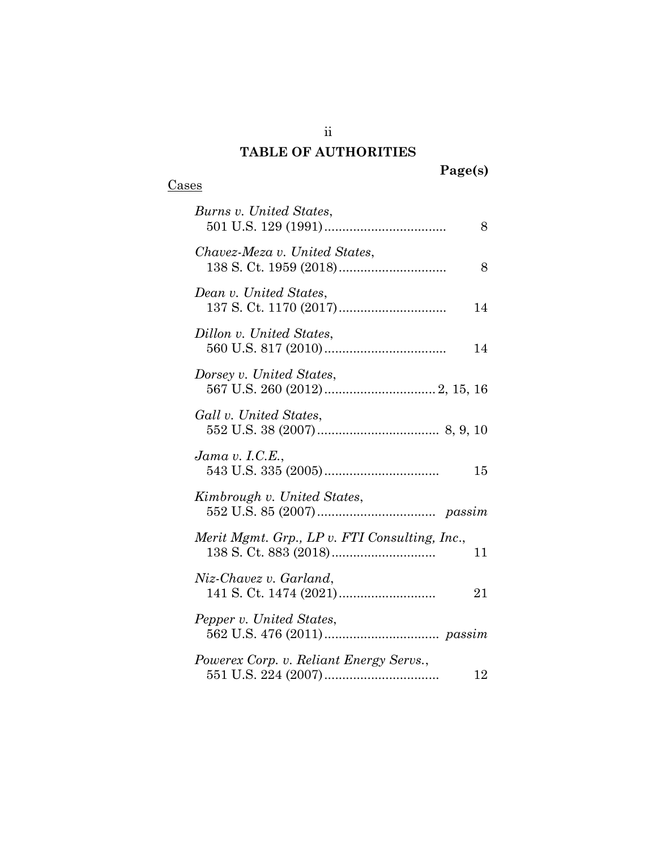# TABLE OF AUTHORITIES

# **Cases**

| Burns v. United States,<br>8                        |
|-----------------------------------------------------|
| Chavez-Meza v. United States,<br>8                  |
| Dean v. United States,<br>14                        |
| Dillon v. United States,<br>14                      |
| Dorsey v. United States,                            |
| Gall v. United States,                              |
| Jama v. I.C.E.,<br>15                               |
| Kimbrough v. United States,                         |
| Merit Mgmt. Grp., LP v. FTI Consulting, Inc.,<br>11 |
| Niz-Chavez v. Garland,<br>21                        |
| Pepper v. United States,                            |
| Powerex Corp. v. Reliant Energy Servs.,<br>12       |

ii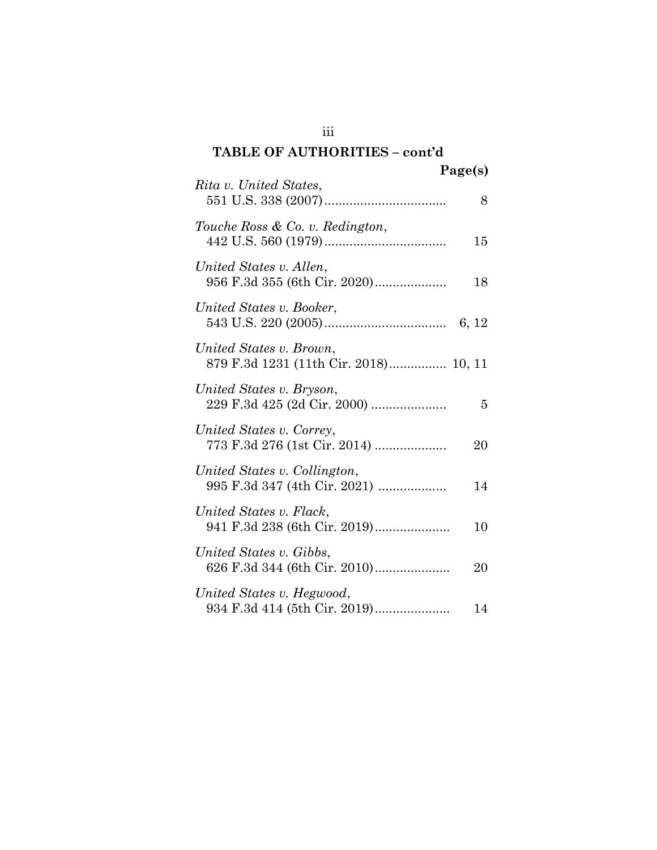# TABLE OF AUTHORITIES – cont'd

|                                                                  | Page(s) |
|------------------------------------------------------------------|---------|
| Rita v. United States,                                           | 8       |
| Touche Ross & Co. v. Redington,                                  | 15      |
| United States v. Allen,<br>956 F.3d 355 (6th Cir. 2020)          | 18      |
| United States v. Booker,                                         | 6, 12   |
| United States v. Brown,<br>879 F.3d 1231 (11th Cir. 2018) 10, 11 |         |
| United States v. Bryson,<br>229 F.3d 425 (2d Cir. 2000)          | 5       |
| United States v. Correy,<br>773 F.3d 276 (1st Cir. 2014)         | 20      |
| United States v. Collington,<br>995 F.3d 347 (4th Cir. 2021)     | 14      |
| United States v. Flack,<br>941 F.3d 238 (6th Cir. 2019)          | 10      |
| United States v. Gibbs,<br>626 F.3d 344 (6th Cir. 2010)          | 20      |
| United States v. Hegwood,<br>934 F.3d 414 (5th Cir. 2019)        | 14      |

iii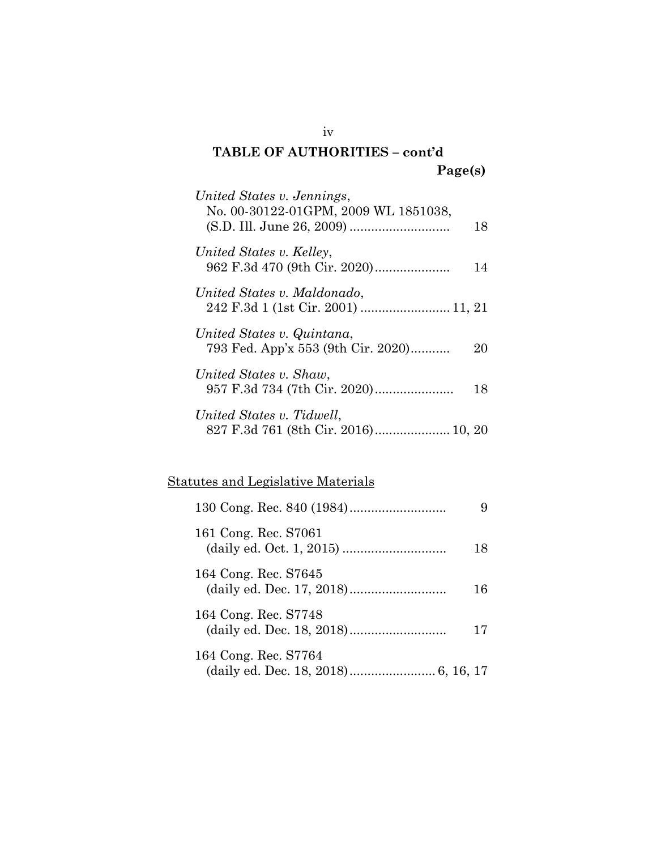## TABLE OF AUTHORITIES – cont'd Page(s)

| United States v. Jennings,                                       |    |
|------------------------------------------------------------------|----|
| No. 00-30122-01GPM, 2009 WL 1851038,                             | 18 |
| United States v. Kelley,                                         | 14 |
| United States v. Maldonado,                                      |    |
| United States v. Quintana,<br>793 Fed. App'x 553 (9th Cir. 2020) | 20 |
| United States v. Shaw,                                           | 18 |
| United States v. Tidwell,<br>827 F.3d 761 (8th Cir. 2016) 10, 20 |    |

# Statutes and Legislative Materials

| 161 Cong. Rec. S7061 | 18 |
|----------------------|----|
| 164 Cong. Rec. S7645 | 16 |
| 164 Cong. Rec. S7748 | 17 |
| 164 Cong. Rec. S7764 |    |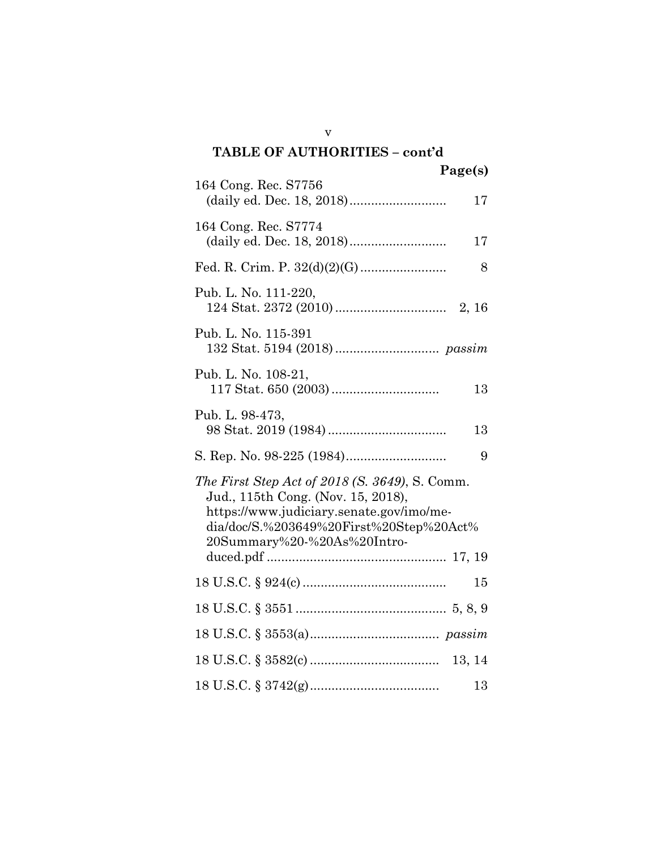# v TABLE OF AUTHORITIES – cont'd Page(s) 164 Cong. Rec. S7756 (daily ed. Dec. 18, 2018) ........................... 17 164 Cong. Rec. S7774 (daily ed. Dec. 18, 2018) ........................... 17 Fed. R. Crim. P. 32(d)(2)(G) ........................ 8 Pub. L. No. 111-220, 124 Stat. 2372 (2010) ............................... 2, 16 Pub. L. No. 115-391 132 Stat. 5194 (2018) ............................. passim Pub. L. No. 108-21, 117 Stat. 650 (2003) .............................. 13 Pub. L. 98-473, 98 Stat. 2019 (1984) ................................. 13 S. Rep. No. 98-225 (1984) ............................ 9 The First Step Act of 2018 (S. 3649), S. Comm. Jud., 115th Cong. (Nov. 15, 2018), https://www.judiciary.senate.gov/imo/media/doc/S.%203649%20First%20Step%20Act% 20Summary%20-%20As%20Introduced.pdf .................................................. 17, 19 18 U.S.C. § 924(c) ........................................ 15 18 U.S.C. § 3551 .......................................... 5, 8, 9 18 U.S.C. § 3553(a) .................................... passim 18 U.S.C. § 3582(c) .................................... 13, 14 18 U.S.C. § 3742(g) .................................... 13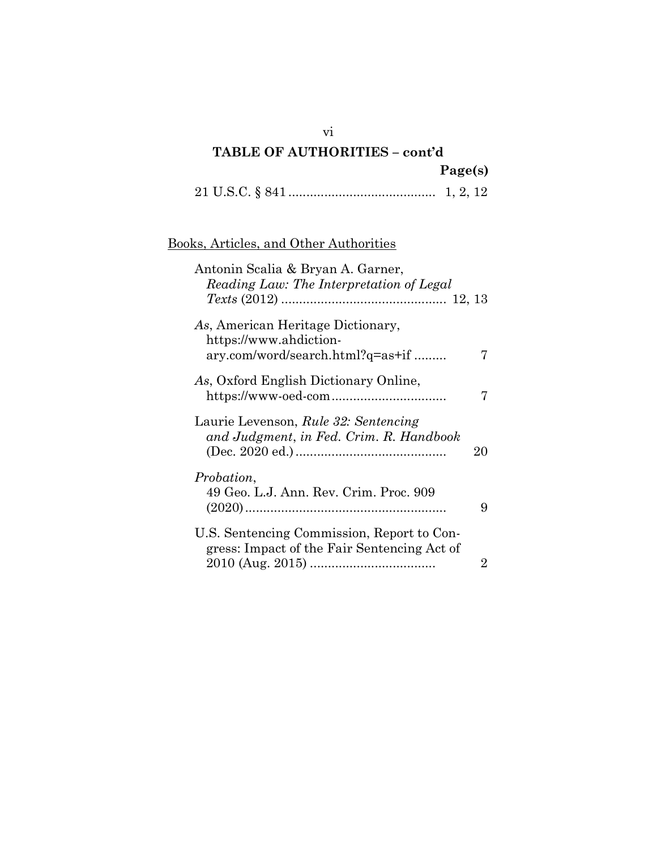# TABLE OF AUTHORITIES – cont'd Page(s)

|--|--|--|--|

## Books, Articles, and Other Authorities

| Antonin Scalia & Bryan A. Garner,<br>Reading Law: The Interpretation of Legal                   |    |
|-------------------------------------------------------------------------------------------------|----|
| As, American Heritage Dictionary,<br>https://www.ahdiction-<br>ary.com/word/search.html?q=as+if | 7  |
| As, Oxford English Dictionary Online,                                                           | 7  |
| Laurie Levenson, Rule 32: Sentencing<br>and Judgment, in Fed. Crim. R. Handbook                 | 20 |
| <i>Probation,</i><br>49 Geo. L.J. Ann. Rev. Crim. Proc. 909                                     | 9  |
| U.S. Sentencing Commission, Report to Con-<br>gress: Impact of the Fair Sentencing Act of       | 2  |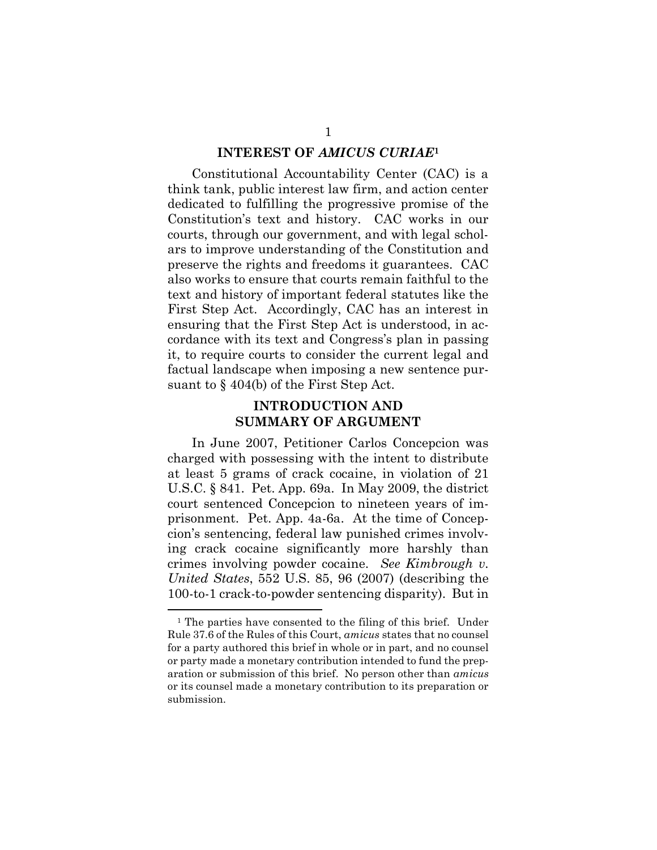#### INTEREST OF AMICUS CURIAE<sup>1</sup>

Constitutional Accountability Center (CAC) is a think tank, public interest law firm, and action center dedicated to fulfilling the progressive promise of the Constitution's text and history. CAC works in our courts, through our government, and with legal scholars to improve understanding of the Constitution and preserve the rights and freedoms it guarantees. CAC also works to ensure that courts remain faithful to the text and history of important federal statutes like the First Step Act. Accordingly, CAC has an interest in ensuring that the First Step Act is understood, in accordance with its text and Congress's plan in passing it, to require courts to consider the current legal and factual landscape when imposing a new sentence pursuant to § 404(b) of the First Step Act.

### INTRODUCTION AND SUMMARY OF ARGUMENT

In June 2007, Petitioner Carlos Concepcion was charged with possessing with the intent to distribute at least 5 grams of crack cocaine, in violation of 21 U.S.C. § 841. Pet. App. 69a. In May 2009, the district court sentenced Concepcion to nineteen years of imprisonment. Pet. App. 4a-6a. At the time of Concepcion's sentencing, federal law punished crimes involving crack cocaine significantly more harshly than crimes involving powder cocaine. See Kimbrough v. United States, 552 U.S. 85, 96 (2007) (describing the 100-to-1 crack-to-powder sentencing disparity). But in

<sup>&</sup>lt;sup>1</sup> The parties have consented to the filing of this brief. Under Rule 37.6 of the Rules of this Court, amicus states that no counsel for a party authored this brief in whole or in part, and no counsel or party made a monetary contribution intended to fund the preparation or submission of this brief. No person other than amicus or its counsel made a monetary contribution to its preparation or submission.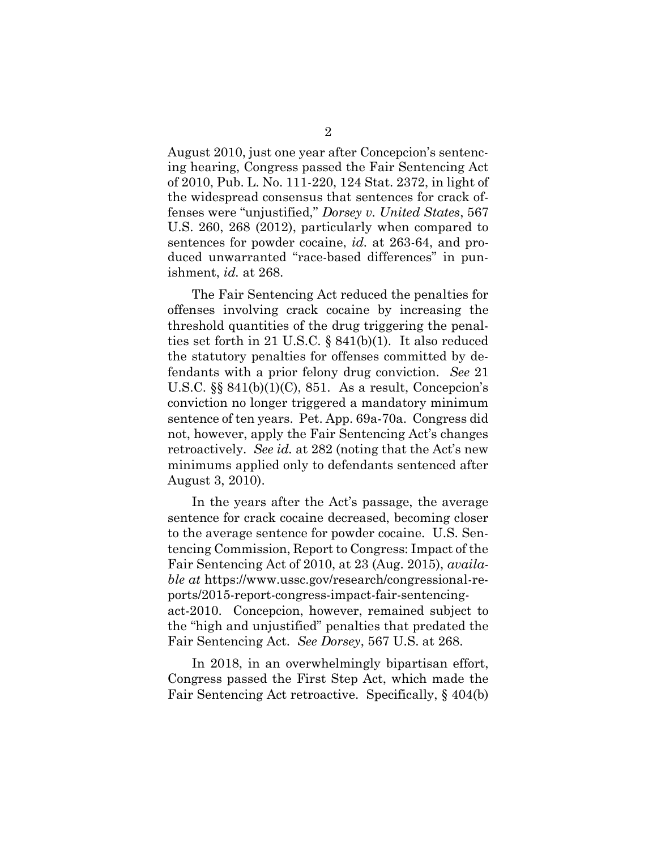August 2010, just one year after Concepcion's sentencing hearing, Congress passed the Fair Sentencing Act of 2010, Pub. L. No. 111-220, 124 Stat. 2372, in light of the widespread consensus that sentences for crack offenses were "unjustified," Dorsey v. United States, 567 U.S. 260, 268 (2012), particularly when compared to sentences for powder cocaine, id. at 263-64, and produced unwarranted "race-based differences" in punishment, id. at 268.

The Fair Sentencing Act reduced the penalties for offenses involving crack cocaine by increasing the threshold quantities of the drug triggering the penalties set forth in 21 U.S.C. § 841(b)(1). It also reduced the statutory penalties for offenses committed by defendants with a prior felony drug conviction. See 21 U.S.C.  $\S$ § 841(b)(1)(C), 851. As a result, Concepcion's conviction no longer triggered a mandatory minimum sentence of ten years. Pet. App. 69a-70a. Congress did not, however, apply the Fair Sentencing Act's changes retroactively. See id. at 282 (noting that the Act's new minimums applied only to defendants sentenced after August 3, 2010).

In the years after the Act's passage, the average sentence for crack cocaine decreased, becoming closer to the average sentence for powder cocaine. U.S. Sentencing Commission, Report to Congress: Impact of the Fair Sentencing Act of 2010, at 23 (Aug. 2015), available at https://www.ussc.gov/research/congressional-reports/2015-report-congress-impact-fair-sentencingact-2010. Concepcion, however, remained subject to the "high and unjustified" penalties that predated the Fair Sentencing Act. See Dorsey, 567 U.S. at 268.

In 2018, in an overwhelmingly bipartisan effort, Congress passed the First Step Act, which made the Fair Sentencing Act retroactive. Specifically, § 404(b)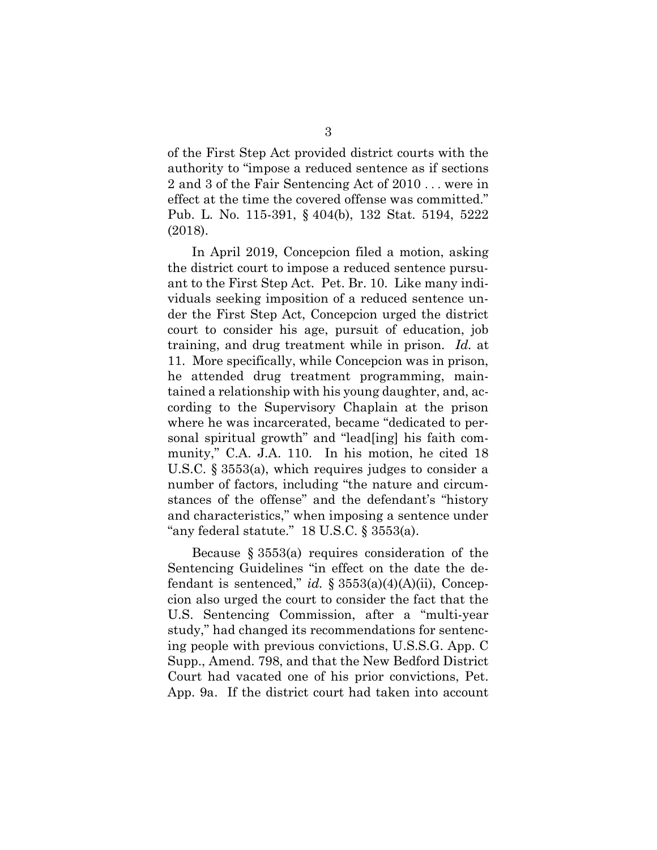of the First Step Act provided district courts with the authority to "impose a reduced sentence as if sections 2 and 3 of the Fair Sentencing Act of 2010 . . . were in effect at the time the covered offense was committed." Pub. L. No. 115-391, § 404(b), 132 Stat. 5194, 5222 (2018).

In April 2019, Concepcion filed a motion, asking the district court to impose a reduced sentence pursuant to the First Step Act. Pet. Br. 10. Like many individuals seeking imposition of a reduced sentence under the First Step Act, Concepcion urged the district court to consider his age, pursuit of education, job training, and drug treatment while in prison. Id. at 11. More specifically, while Concepcion was in prison, he attended drug treatment programming, maintained a relationship with his young daughter, and, according to the Supervisory Chaplain at the prison where he was incarcerated, became "dedicated to personal spiritual growth" and "lead[ing] his faith community," C.A. J.A. 110. In his motion, he cited 18 U.S.C. § 3553(a), which requires judges to consider a number of factors, including "the nature and circumstances of the offense" and the defendant's "history and characteristics," when imposing a sentence under "any federal statute."  $18$  U.S.C. § 3553(a).

Because § 3553(a) requires consideration of the Sentencing Guidelines "in effect on the date the defendant is sentenced," id.  $\S 3553(a)(4)(A)(ii)$ , Concepcion also urged the court to consider the fact that the U.S. Sentencing Commission, after a "multi-year study," had changed its recommendations for sentencing people with previous convictions, U.S.S.G. App. C Supp., Amend. 798, and that the New Bedford District Court had vacated one of his prior convictions, Pet. App. 9a. If the district court had taken into account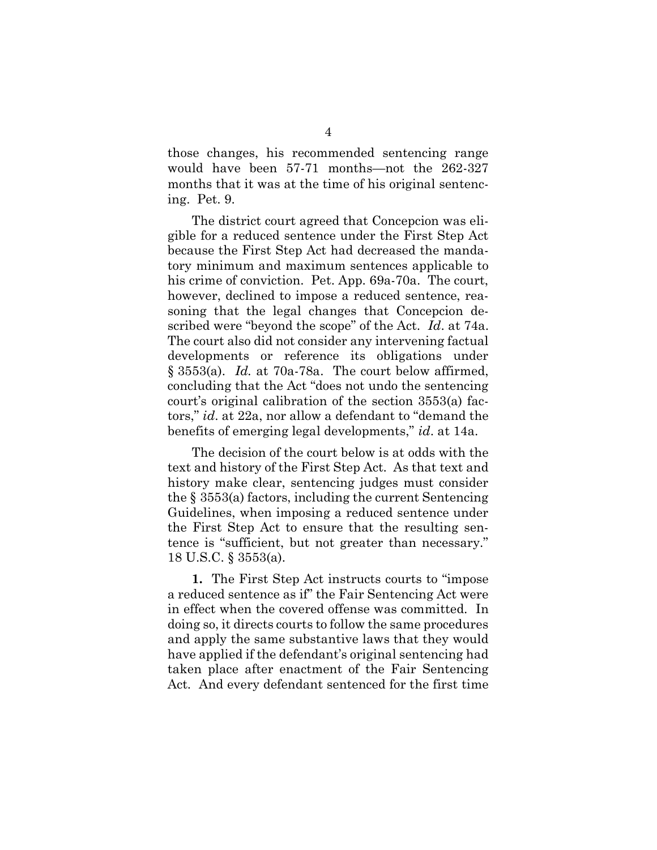those changes, his recommended sentencing range would have been 57-71 months—not the 262-327 months that it was at the time of his original sentencing. Pet. 9.

The district court agreed that Concepcion was eligible for a reduced sentence under the First Step Act because the First Step Act had decreased the mandatory minimum and maximum sentences applicable to his crime of conviction. Pet. App. 69a-70a. The court, however, declined to impose a reduced sentence, reasoning that the legal changes that Concepcion described were "beyond the scope" of the Act. Id. at 74a. The court also did not consider any intervening factual developments or reference its obligations under  $\S 3553(a)$ . *Id.* at 70a-78a. The court below affirmed, concluding that the Act "does not undo the sentencing court's original calibration of the section 3553(a) factors," id. at 22a, nor allow a defendant to "demand the benefits of emerging legal developments," id. at 14a.

The decision of the court below is at odds with the text and history of the First Step Act. As that text and history make clear, sentencing judges must consider the § 3553(a) factors, including the current Sentencing Guidelines, when imposing a reduced sentence under the First Step Act to ensure that the resulting sentence is "sufficient, but not greater than necessary." 18 U.S.C. § 3553(a).

1. The First Step Act instructs courts to "impose a reduced sentence as if" the Fair Sentencing Act were in effect when the covered offense was committed. In doing so, it directs courts to follow the same procedures and apply the same substantive laws that they would have applied if the defendant's original sentencing had taken place after enactment of the Fair Sentencing Act. And every defendant sentenced for the first time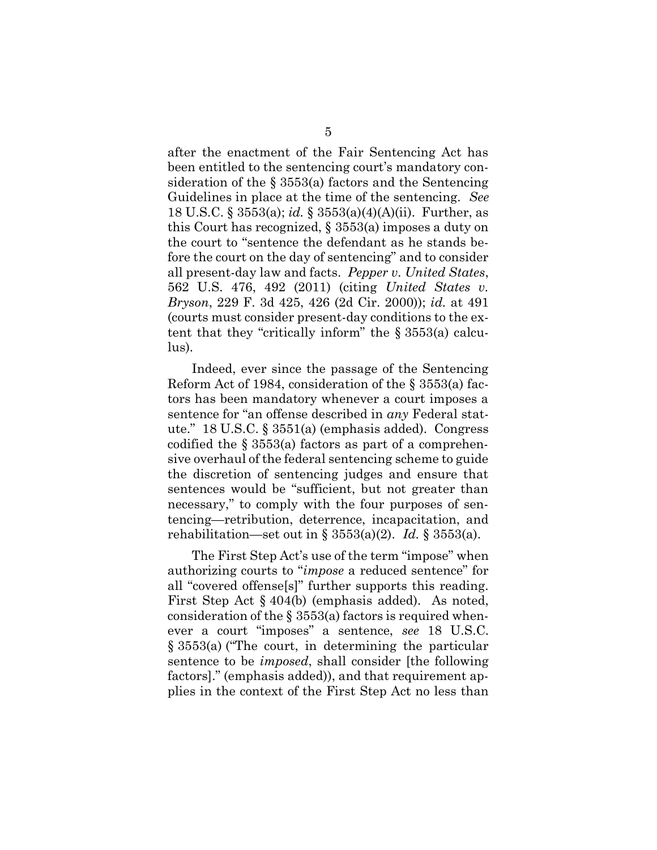after the enactment of the Fair Sentencing Act has been entitled to the sentencing court's mandatory consideration of the  $\S$  3553(a) factors and the Sentencing Guidelines in place at the time of the sentencing. See 18 U.S.C. § 3553(a); id. § 3553(a)(4)(A)(ii). Further, as this Court has recognized, § 3553(a) imposes a duty on the court to "sentence the defendant as he stands before the court on the day of sentencing" and to consider all present-day law and facts. Pepper v. United States, 562 U.S. 476, 492 (2011) (citing United States v. Bryson, 229 F. 3d 425, 426 (2d Cir. 2000)); id. at 491 (courts must consider present-day conditions to the extent that they "critically inform" the § 3553(a) calculus).

Indeed, ever since the passage of the Sentencing Reform Act of 1984, consideration of the § 3553(a) factors has been mandatory whenever a court imposes a sentence for "an offense described in any Federal statute." 18 U.S.C. § 3551(a) (emphasis added). Congress codified the  $\S$  3553(a) factors as part of a comprehensive overhaul of the federal sentencing scheme to guide the discretion of sentencing judges and ensure that sentences would be "sufficient, but not greater than necessary," to comply with the four purposes of sentencing—retribution, deterrence, incapacitation, and rehabilitation—set out in §  $3553(a)(2)$ . *Id.* §  $3553(a)$ .

The First Step Act's use of the term "impose" when authorizing courts to "impose a reduced sentence" for all "covered offense[s]" further supports this reading. First Step Act § 404(b) (emphasis added). As noted, consideration of the  $\S$  3553(a) factors is required whenever a court "imposes" a sentence, see 18 U.S.C. § 3553(a) ("The court, in determining the particular sentence to be imposed, shall consider [the following factors]." (emphasis added)), and that requirement applies in the context of the First Step Act no less than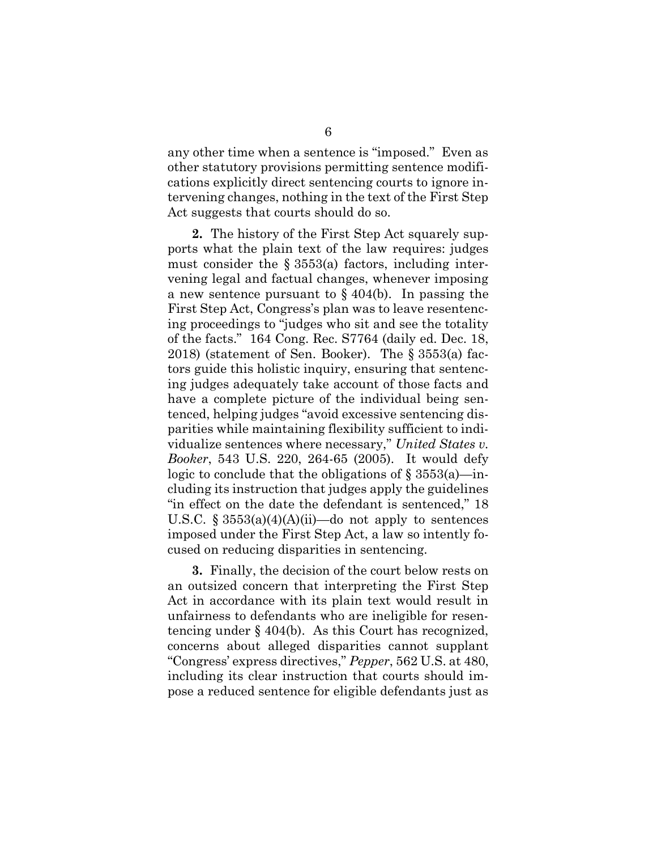any other time when a sentence is "imposed." Even as other statutory provisions permitting sentence modifications explicitly direct sentencing courts to ignore intervening changes, nothing in the text of the First Step Act suggests that courts should do so.

2. The history of the First Step Act squarely supports what the plain text of the law requires: judges must consider the  $\S$  3553(a) factors, including intervening legal and factual changes, whenever imposing a new sentence pursuant to  $\S$  404(b). In passing the First Step Act, Congress's plan was to leave resentencing proceedings to "judges who sit and see the totality of the facts." 164 Cong. Rec. S7764 (daily ed. Dec. 18, 2018) (statement of Sen. Booker). The § 3553(a) factors guide this holistic inquiry, ensuring that sentencing judges adequately take account of those facts and have a complete picture of the individual being sentenced, helping judges "avoid excessive sentencing disparities while maintaining flexibility sufficient to individualize sentences where necessary," United States v. Booker, 543 U.S. 220, 264-65 (2005). It would defy logic to conclude that the obligations of  $\S 3553(a)$ —including its instruction that judges apply the guidelines "in effect on the date the defendant is sentenced," 18 U.S.C.  $\S 3553(a)(4)(A)(ii)$ —do not apply to sentences imposed under the First Step Act, a law so intently focused on reducing disparities in sentencing.

3. Finally, the decision of the court below rests on an outsized concern that interpreting the First Step Act in accordance with its plain text would result in unfairness to defendants who are ineligible for resentencing under § 404(b). As this Court has recognized, concerns about alleged disparities cannot supplant "Congress' express directives," Pepper, 562 U.S. at 480, including its clear instruction that courts should impose a reduced sentence for eligible defendants just as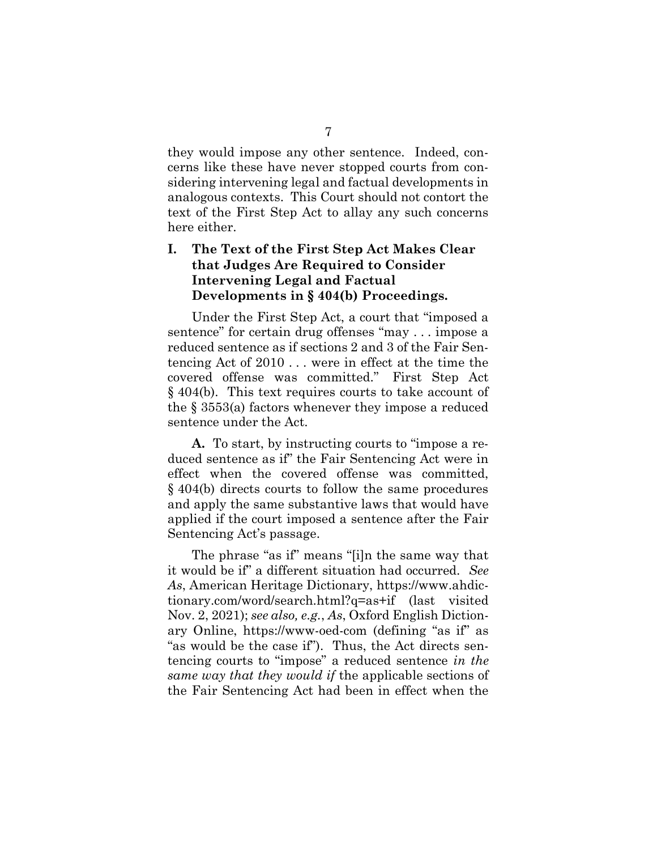they would impose any other sentence. Indeed, concerns like these have never stopped courts from considering intervening legal and factual developments in analogous contexts. This Court should not contort the text of the First Step Act to allay any such concerns here either.

### I. The Text of the First Step Act Makes Clear that Judges Are Required to Consider Intervening Legal and Factual Developments in § 404(b) Proceedings.

Under the First Step Act, a court that "imposed a sentence" for certain drug offenses "may . . . impose a reduced sentence as if sections 2 and 3 of the Fair Sentencing Act of 2010 . . . were in effect at the time the covered offense was committed." First Step Act § 404(b). This text requires courts to take account of the § 3553(a) factors whenever they impose a reduced sentence under the Act.

A. To start, by instructing courts to "impose a reduced sentence as if" the Fair Sentencing Act were in effect when the covered offense was committed, § 404(b) directs courts to follow the same procedures and apply the same substantive laws that would have applied if the court imposed a sentence after the Fair Sentencing Act's passage.

The phrase "as if" means "[i]n the same way that it would be if" a different situation had occurred. See As, American Heritage Dictionary, https://www.ahdictionary.com/word/search.html?q=as+if (last visited Nov. 2, 2021); see also, e.g., As, Oxford English Dictionary Online, https://www-oed-com (defining "as if" as "as would be the case if"). Thus, the Act directs sentencing courts to "impose" a reduced sentence in the same way that they would if the applicable sections of the Fair Sentencing Act had been in effect when the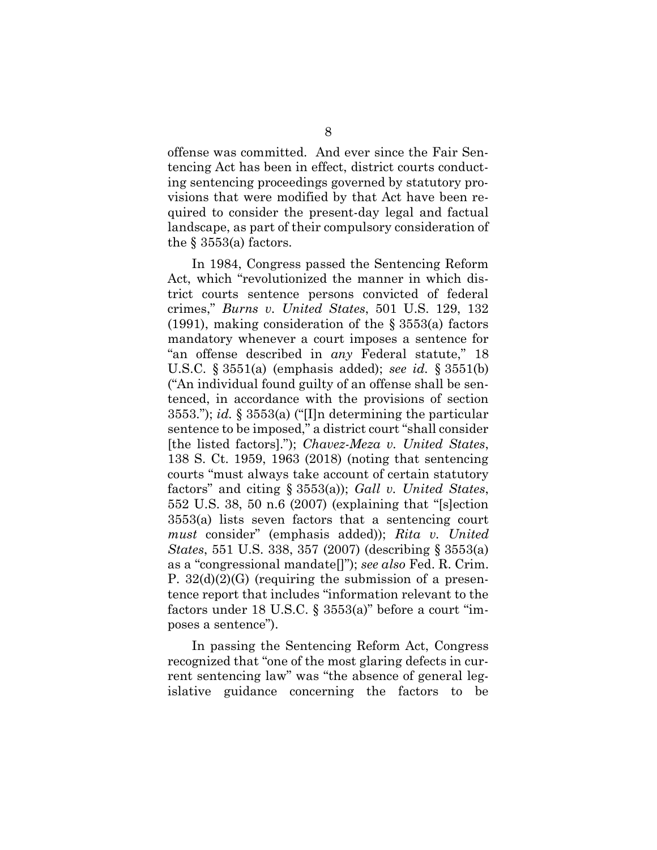offense was committed. And ever since the Fair Sentencing Act has been in effect, district courts conducting sentencing proceedings governed by statutory provisions that were modified by that Act have been required to consider the present-day legal and factual landscape, as part of their compulsory consideration of the  $\S$  3553(a) factors.

In 1984, Congress passed the Sentencing Reform Act, which "revolutionized the manner in which district courts sentence persons convicted of federal crimes," Burns v. United States, 501 U.S. 129, 132 (1991), making consideration of the § 3553(a) factors mandatory whenever a court imposes a sentence for "an offense described in any Federal statute," 18 U.S.C.  $\S 3551(a)$  (emphasis added); see id.  $\S 3551(b)$ ("An individual found guilty of an offense shall be sentenced, in accordance with the provisions of section 3553."); id.  $\S$  3553(a) ("[I]n determining the particular sentence to be imposed," a district court "shall consider [the listed factors]."); Chavez-Meza v. United States, 138 S. Ct. 1959, 1963 (2018) (noting that sentencing courts "must always take account of certain statutory factors" and citing  $\S 3553(a)$ ; Gall v. United States, 552 U.S. 38, 50 n.6 (2007) (explaining that "[s]ection 3553(a) lists seven factors that a sentencing court must consider" (emphasis added)); Rita v. United States, 551 U.S. 338, 357 (2007) (describing § 3553(a) as a "congressional mandate[]"); see also Fed. R. Crim. P.  $32(d)(2)(G)$  (requiring the submission of a presentence report that includes "information relevant to the factors under 18 U.S.C.  $\S$  3553(a)" before a court "imposes a sentence").

In passing the Sentencing Reform Act, Congress recognized that "one of the most glaring defects in current sentencing law" was "the absence of general legislative guidance concerning the factors to be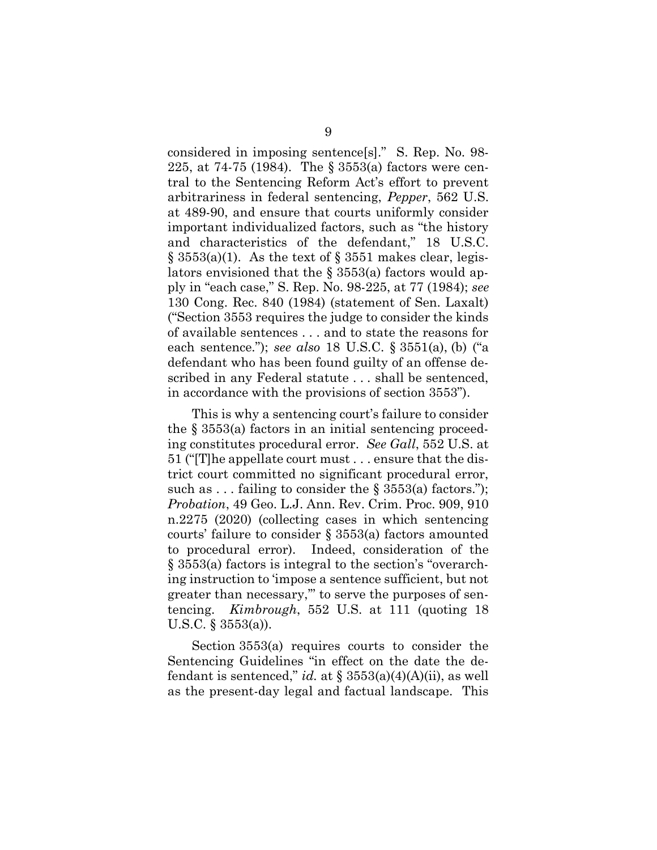considered in imposing sentence[s]." S. Rep. No. 98- 225, at 74-75 (1984). The § 3553(a) factors were central to the Sentencing Reform Act's effort to prevent arbitrariness in federal sentencing, Pepper, 562 U.S. at 489-90, and ensure that courts uniformly consider important individualized factors, such as "the history and characteristics of the defendant," 18 U.S.C.  $\S 3553(a)(1)$ . As the text of  $\S 3551$  makes clear, legislators envisioned that the § 3553(a) factors would apply in "each case," S. Rep. No. 98-225, at 77 (1984); see 130 Cong. Rec. 840 (1984) (statement of Sen. Laxalt) ("Section 3553 requires the judge to consider the kinds of available sentences . . . and to state the reasons for each sentence."); see also 18 U.S.C.  $\S 3551(a)$ , (b) ("a defendant who has been found guilty of an offense described in any Federal statute . . . shall be sentenced, in accordance with the provisions of section 3553").

This is why a sentencing court's failure to consider the  $\S$  3553(a) factors in an initial sentencing proceeding constitutes procedural error. See Gall, 552 U.S. at 51 ("[T]he appellate court must . . . ensure that the district court committed no significant procedural error, such as ... failing to consider the  $\S 3553(a)$  factors."); Probation, 49 Geo. L.J. Ann. Rev. Crim. Proc. 909, 910 n.2275 (2020) (collecting cases in which sentencing courts' failure to consider § 3553(a) factors amounted to procedural error). Indeed, consideration of the § 3553(a) factors is integral to the section's "overarching instruction to 'impose a sentence sufficient, but not greater than necessary,'" to serve the purposes of sentencing. Kimbrough, 552 U.S. at 111 (quoting 18 U.S.C. § 3553(a)).

Section 3553(a) requires courts to consider the Sentencing Guidelines "in effect on the date the defendant is sentenced," *id.* at  $\S 3553(a)(4)(A)(ii)$ , as well as the present-day legal and factual landscape. This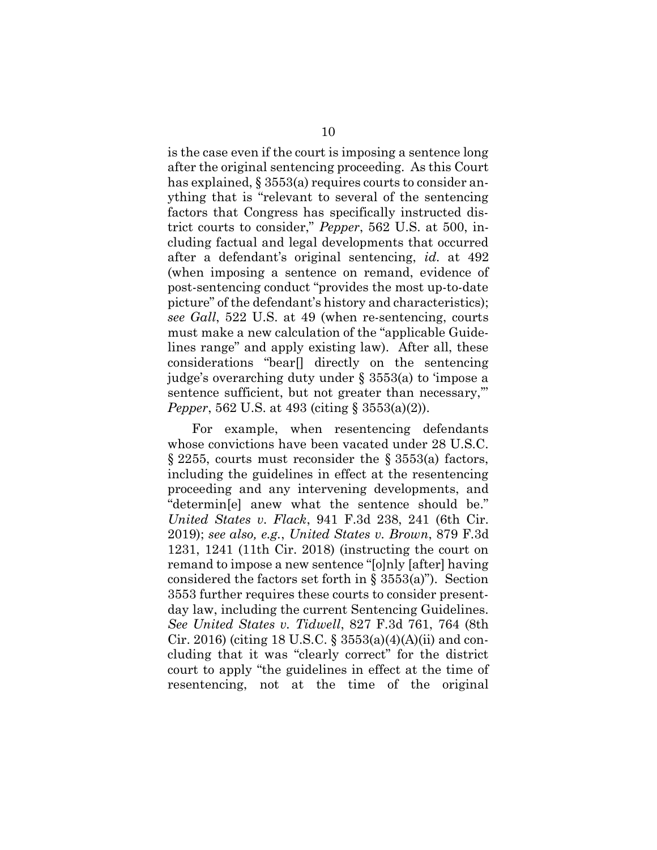is the case even if the court is imposing a sentence long after the original sentencing proceeding. As this Court has explained, § 3553(a) requires courts to consider anything that is "relevant to several of the sentencing factors that Congress has specifically instructed district courts to consider," Pepper, 562 U.S. at 500, including factual and legal developments that occurred after a defendant's original sentencing, id. at 492 (when imposing a sentence on remand, evidence of post-sentencing conduct "provides the most up-to-date picture" of the defendant's history and characteristics); see Gall, 522 U.S. at 49 (when re-sentencing, courts must make a new calculation of the "applicable Guidelines range" and apply existing law). After all, these considerations "bear[] directly on the sentencing judge's overarching duty under § 3553(a) to 'impose a sentence sufficient, but not greater than necessary," Pepper, 562 U.S. at 493 (citing § 3553(a)(2)).

For example, when resentencing defendants whose convictions have been vacated under 28 U.S.C. § 2255, courts must reconsider the § 3553(a) factors, including the guidelines in effect at the resentencing proceeding and any intervening developments, and "determin[e] anew what the sentence should be." United States v. Flack, 941 F.3d 238, 241 (6th Cir. 2019); see also, e.g., United States v. Brown, 879 F.3d 1231, 1241 (11th Cir. 2018) (instructing the court on remand to impose a new sentence "[o]nly [after] having considered the factors set forth in § 3553(a)"). Section 3553 further requires these courts to consider presentday law, including the current Sentencing Guidelines. See United States v. Tidwell, 827 F.3d 761, 764 (8th Cir. 2016) (citing 18 U.S.C. § 3553(a)(4)(A)(ii) and concluding that it was "clearly correct" for the district court to apply "the guidelines in effect at the time of resentencing, not at the time of the original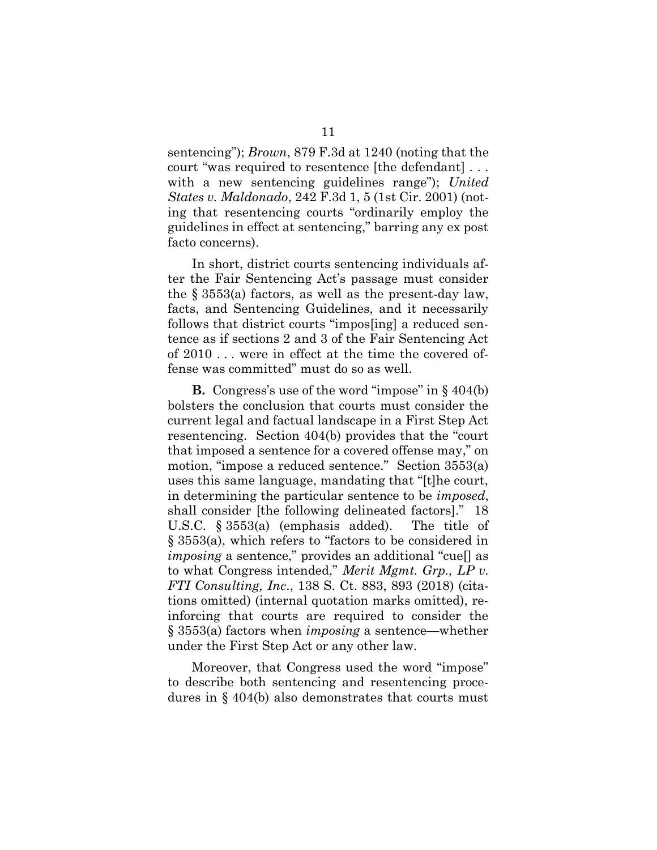sentencing"); Brown, 879 F.3d at 1240 (noting that the court "was required to resentence [the defendant] . . . with a new sentencing guidelines range"); United States v. Maldonado, 242 F.3d 1, 5 (1st Cir. 2001) (noting that resentencing courts "ordinarily employ the guidelines in effect at sentencing," barring any ex post facto concerns).

In short, district courts sentencing individuals after the Fair Sentencing Act's passage must consider the § 3553(a) factors, as well as the present-day law, facts, and Sentencing Guidelines, and it necessarily follows that district courts "impos[ing] a reduced sentence as if sections 2 and 3 of the Fair Sentencing Act of 2010 . . . were in effect at the time the covered offense was committed" must do so as well.

**B.** Congress's use of the word "impose" in  $\S 404(b)$ bolsters the conclusion that courts must consider the current legal and factual landscape in a First Step Act resentencing. Section 404(b) provides that the "court that imposed a sentence for a covered offense may," on motion, "impose a reduced sentence." Section 3553(a) uses this same language, mandating that "[t]he court, in determining the particular sentence to be imposed, shall consider [the following delineated factors]." 18 U.S.C. § 3553(a) (emphasis added). The title of § 3553(a), which refers to "factors to be considered in imposing a sentence," provides an additional "cue[] as to what Congress intended," Merit Mgmt. Grp., LP v. FTI Consulting, Inc., 138 S. Ct. 883, 893 (2018) (citations omitted) (internal quotation marks omitted), reinforcing that courts are required to consider the § 3553(a) factors when imposing a sentence—whether under the First Step Act or any other law.

Moreover, that Congress used the word "impose" to describe both sentencing and resentencing procedures in § 404(b) also demonstrates that courts must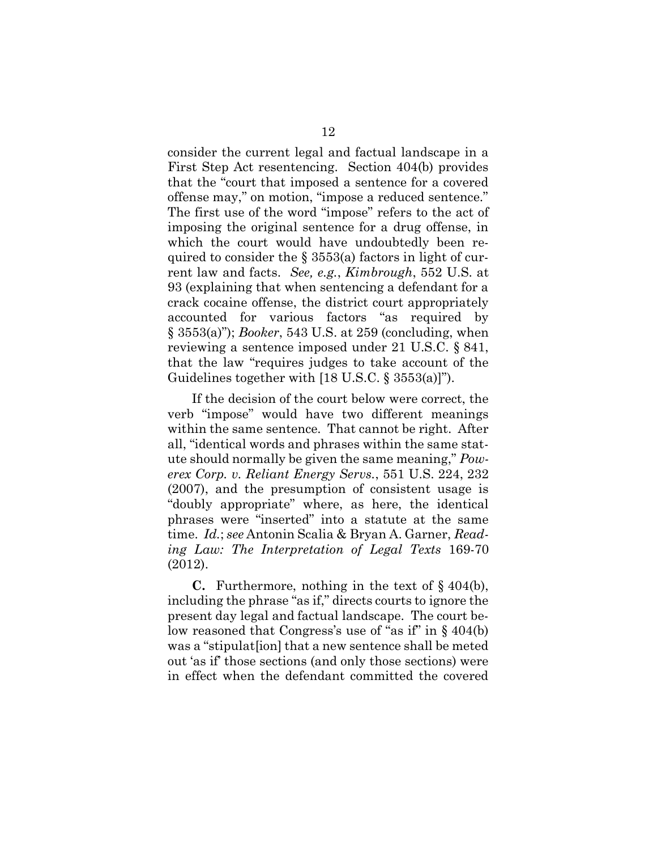consider the current legal and factual landscape in a First Step Act resentencing. Section 404(b) provides that the "court that imposed a sentence for a covered offense may," on motion, "impose a reduced sentence." The first use of the word "impose" refers to the act of imposing the original sentence for a drug offense, in which the court would have undoubtedly been required to consider the § 3553(a) factors in light of current law and facts. See, e.g., Kimbrough, 552 U.S. at 93 (explaining that when sentencing a defendant for a crack cocaine offense, the district court appropriately accounted for various factors "as required by  $\S$  3553(a)"); *Booker*, 543 U.S. at 259 (concluding, when reviewing a sentence imposed under 21 U.S.C. § 841, that the law "requires judges to take account of the Guidelines together with [18 U.S.C. § 3553(a)]").

If the decision of the court below were correct, the verb "impose" would have two different meanings within the same sentence. That cannot be right. After all, "identical words and phrases within the same statute should normally be given the same meaning," Powerex Corp. v. Reliant Energy Servs., 551 U.S. 224, 232 (2007), and the presumption of consistent usage is "doubly appropriate" where, as here, the identical phrases were "inserted" into a statute at the same time. Id.; see Antonin Scalia & Bryan A. Garner, Reading Law: The Interpretation of Legal Texts 169-70 (2012).

**C.** Furthermore, nothing in the text of  $\S$  404(b), including the phrase "as if," directs courts to ignore the present day legal and factual landscape. The court below reasoned that Congress's use of "as if" in § 404(b) was a "stipulat[ion] that a new sentence shall be meted out 'as if' those sections (and only those sections) were in effect when the defendant committed the covered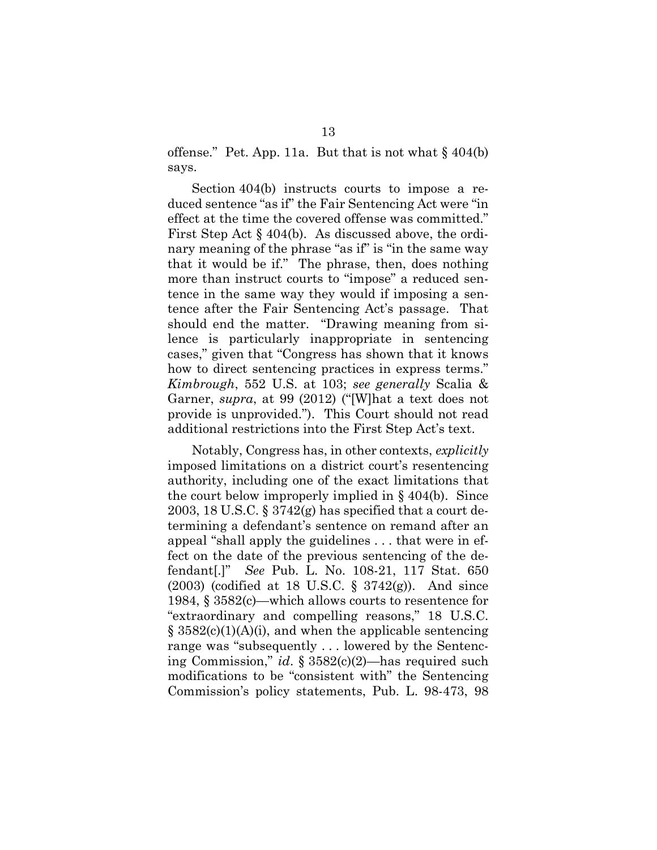offense." Pet. App. 11a. But that is not what  $\S$  404(b) says.

Section 404(b) instructs courts to impose a reduced sentence "as if" the Fair Sentencing Act were "in effect at the time the covered offense was committed." First Step Act § 404(b). As discussed above, the ordinary meaning of the phrase "as if" is "in the same way that it would be if." The phrase, then, does nothing more than instruct courts to "impose" a reduced sentence in the same way they would if imposing a sentence after the Fair Sentencing Act's passage. That should end the matter. "Drawing meaning from silence is particularly inappropriate in sentencing cases," given that "Congress has shown that it knows how to direct sentencing practices in express terms." Kimbrough, 552 U.S. at 103; see generally Scalia & Garner, supra, at 99 (2012) ("[W]hat a text does not provide is unprovided."). This Court should not read additional restrictions into the First Step Act's text.

Notably, Congress has, in other contexts, explicitly imposed limitations on a district court's resentencing authority, including one of the exact limitations that the court below improperly implied in § 404(b). Since 2003, 18 U.S.C.  $\S 3742(g)$  has specified that a court determining a defendant's sentence on remand after an appeal "shall apply the guidelines . . . that were in effect on the date of the previous sentencing of the defendant[.]" See Pub. L. No. 108-21, 117 Stat. 650 (2003) (codified at 18 U.S.C. § 3742(g)). And since 1984, § 3582(c)—which allows courts to resentence for "extraordinary and compelling reasons," 18 U.S.C.  $\S$  3582(c)(1)(A)(i), and when the applicable sentencing range was "subsequently . . . lowered by the Sentencing Commission," id. § 3582(c)(2)—has required such modifications to be "consistent with" the Sentencing Commission's policy statements, Pub. L. 98-473, 98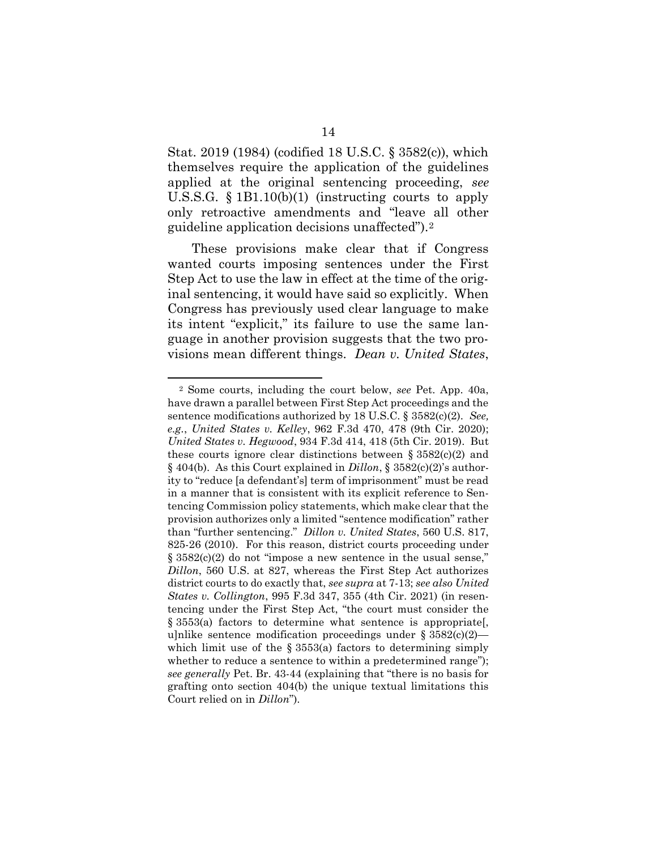Stat. 2019 (1984) (codified 18 U.S.C. § 3582(c)), which themselves require the application of the guidelines applied at the original sentencing proceeding, see U.S.S.G. § 1B1.10(b)(1) (instructing courts to apply only retroactive amendments and "leave all other guideline application decisions unaffected").<sup>2</sup>

These provisions make clear that if Congress wanted courts imposing sentences under the First Step Act to use the law in effect at the time of the original sentencing, it would have said so explicitly. When Congress has previously used clear language to make its intent "explicit," its failure to use the same language in another provision suggests that the two provisions mean different things. Dean v. United States,

<sup>2</sup> Some courts, including the court below, see Pet. App. 40a, have drawn a parallel between First Step Act proceedings and the sentence modifications authorized by 18 U.S.C. § 3582(c)(2). See, e.g., United States v. Kelley, 962 F.3d 470, 478 (9th Cir. 2020); United States v. Hegwood, 934 F.3d 414, 418 (5th Cir. 2019). But these courts ignore clear distinctions between  $\S 3582(c)(2)$  and § 404(b). As this Court explained in Dillon, § 3582(c)(2)'s authority to "reduce [a defendant's] term of imprisonment" must be read in a manner that is consistent with its explicit reference to Sentencing Commission policy statements, which make clear that the provision authorizes only a limited "sentence modification" rather than "further sentencing." Dillon v. United States, 560 U.S. 817, 825-26 (2010). For this reason, district courts proceeding under § 3582(c)(2) do not "impose a new sentence in the usual sense," Dillon, 560 U.S. at 827, whereas the First Step Act authorizes district courts to do exactly that, see supra at 7-13; see also United States v. Collington, 995 F.3d 347, 355 (4th Cir. 2021) (in resentencing under the First Step Act, "the court must consider the § 3553(a) factors to determine what sentence is appropriate[, u]nlike sentence modification proceedings under  $\S 3582(c)(2)$  which limit use of the  $\S$  3553(a) factors to determining simply whether to reduce a sentence to within a predetermined range"); see generally Pet. Br. 43-44 (explaining that "there is no basis for grafting onto section 404(b) the unique textual limitations this Court relied on in Dillon").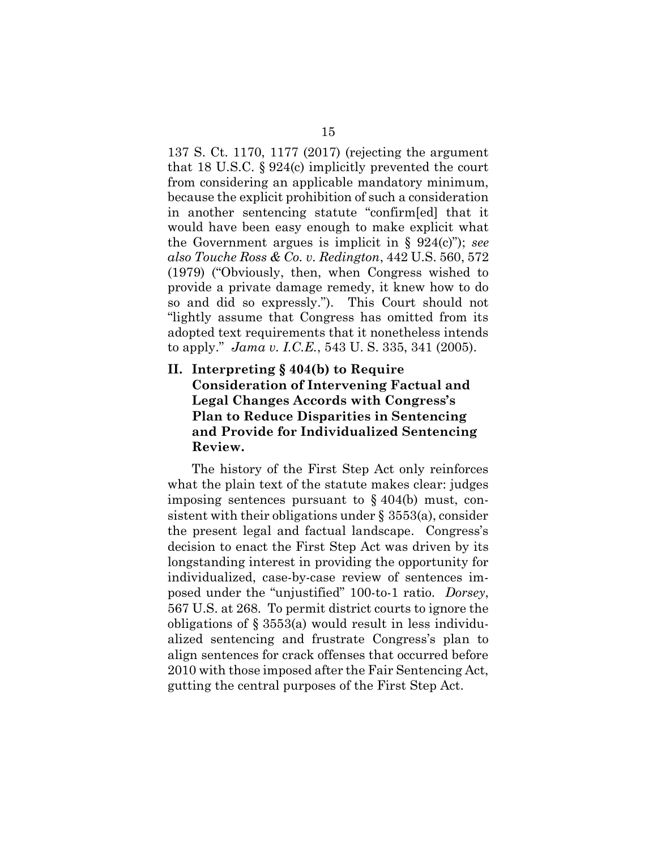137 S. Ct. 1170, 1177 (2017) (rejecting the argument that 18 U.S.C. § 924(c) implicitly prevented the court from considering an applicable mandatory minimum, because the explicit prohibition of such a consideration in another sentencing statute "confirm[ed] that it would have been easy enough to make explicit what the Government argues is implicit in  $\S$  924(c)"); see also Touche Ross & Co. v. Redington, 442 U.S. 560, 572 (1979) ("Obviously, then, when Congress wished to provide a private damage remedy, it knew how to do so and did so expressly."). This Court should not "lightly assume that Congress has omitted from its adopted text requirements that it nonetheless intends to apply." Jama v. I.C.E., 543 U. S. 335, 341 (2005).

II. Interpreting § 404(b) to Require Consideration of Intervening Factual and Legal Changes Accords with Congress's Plan to Reduce Disparities in Sentencing and Provide for Individualized Sentencing Review.

The history of the First Step Act only reinforces what the plain text of the statute makes clear: judges imposing sentences pursuant to § 404(b) must, consistent with their obligations under  $\S$  3553(a), consider the present legal and factual landscape. Congress's decision to enact the First Step Act was driven by its longstanding interest in providing the opportunity for individualized, case-by-case review of sentences imposed under the "unjustified" 100-to-1 ratio. Dorsey, 567 U.S. at 268. To permit district courts to ignore the obligations of § 3553(a) would result in less individualized sentencing and frustrate Congress's plan to align sentences for crack offenses that occurred before 2010 with those imposed after the Fair Sentencing Act, gutting the central purposes of the First Step Act.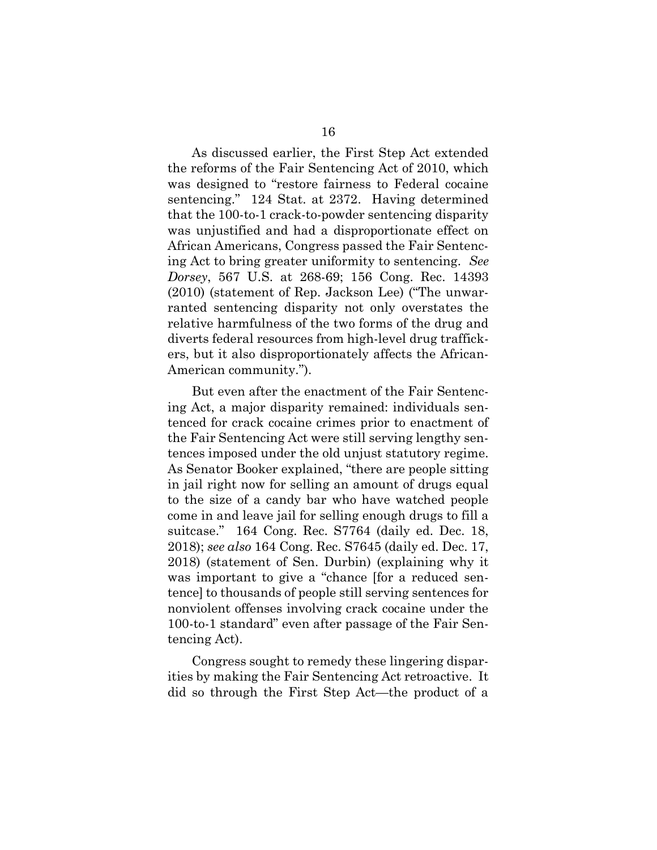As discussed earlier, the First Step Act extended the reforms of the Fair Sentencing Act of 2010, which was designed to "restore fairness to Federal cocaine sentencing." 124 Stat. at 2372. Having determined that the 100-to-1 crack-to-powder sentencing disparity was unjustified and had a disproportionate effect on African Americans, Congress passed the Fair Sentencing Act to bring greater uniformity to sentencing. See Dorsey, 567 U.S. at 268-69; 156 Cong. Rec. 14393 (2010) (statement of Rep. Jackson Lee) ("The unwarranted sentencing disparity not only overstates the relative harmfulness of the two forms of the drug and diverts federal resources from high-level drug traffickers, but it also disproportionately affects the African-American community.").

But even after the enactment of the Fair Sentencing Act, a major disparity remained: individuals sentenced for crack cocaine crimes prior to enactment of the Fair Sentencing Act were still serving lengthy sentences imposed under the old unjust statutory regime. As Senator Booker explained, "there are people sitting in jail right now for selling an amount of drugs equal to the size of a candy bar who have watched people come in and leave jail for selling enough drugs to fill a suitcase." 164 Cong. Rec. S7764 (daily ed. Dec. 18, 2018); see also 164 Cong. Rec. S7645 (daily ed. Dec. 17, 2018) (statement of Sen. Durbin) (explaining why it was important to give a "chance [for a reduced sentence] to thousands of people still serving sentences for nonviolent offenses involving crack cocaine under the 100-to-1 standard" even after passage of the Fair Sentencing Act).

Congress sought to remedy these lingering disparities by making the Fair Sentencing Act retroactive. It did so through the First Step Act—the product of a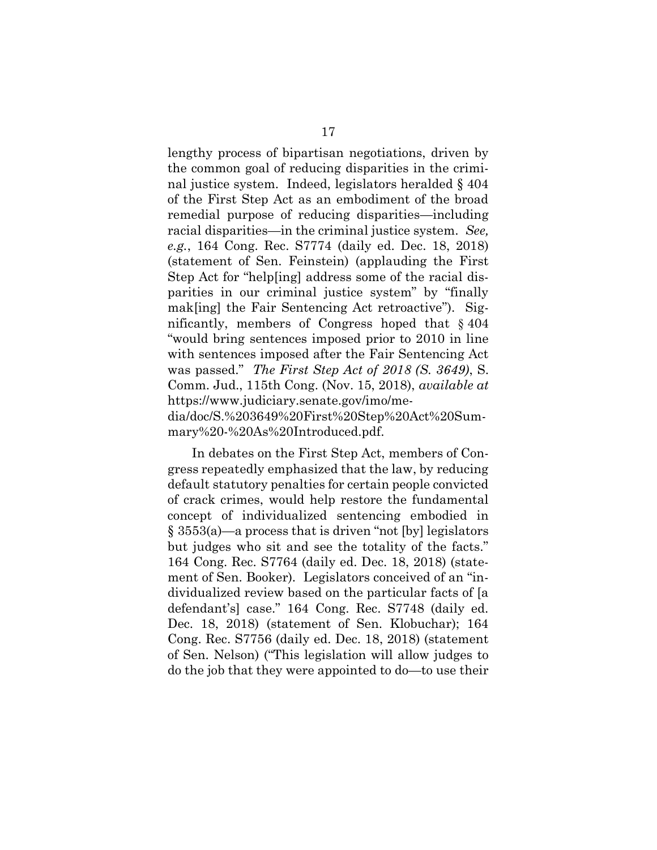lengthy process of bipartisan negotiations, driven by the common goal of reducing disparities in the criminal justice system. Indeed, legislators heralded § 404 of the First Step Act as an embodiment of the broad remedial purpose of reducing disparities—including racial disparities—in the criminal justice system. See, e.g., 164 Cong. Rec. S7774 (daily ed. Dec. 18, 2018) (statement of Sen. Feinstein) (applauding the First Step Act for "help[ing] address some of the racial disparities in our criminal justice system" by "finally mak[ing] the Fair Sentencing Act retroactive"). Significantly, members of Congress hoped that § 404 "would bring sentences imposed prior to 2010 in line with sentences imposed after the Fair Sentencing Act was passed." *The First Step Act of 2018 (S. 3649)*, S. Comm. Jud., 115th Cong. (Nov. 15, 2018), available at https://www.judiciary.senate.gov/imo/media/doc/S.%203649%20First%20Step%20Act%20Summary%20-%20As%20Introduced.pdf.

In debates on the First Step Act, members of Congress repeatedly emphasized that the law, by reducing default statutory penalties for certain people convicted of crack crimes, would help restore the fundamental concept of individualized sentencing embodied in § 3553(a)—a process that is driven "not [by] legislators but judges who sit and see the totality of the facts." 164 Cong. Rec. S7764 (daily ed. Dec. 18, 2018) (statement of Sen. Booker). Legislators conceived of an "individualized review based on the particular facts of [a defendant's] case." 164 Cong. Rec. S7748 (daily ed. Dec. 18, 2018) (statement of Sen. Klobuchar); 164 Cong. Rec. S7756 (daily ed. Dec. 18, 2018) (statement of Sen. Nelson) ("This legislation will allow judges to do the job that they were appointed to do—to use their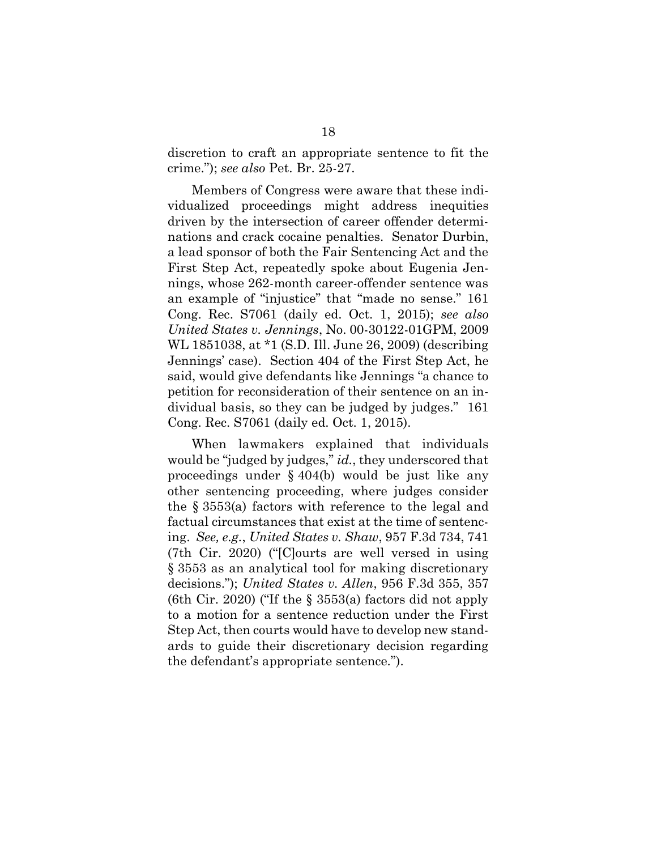discretion to craft an appropriate sentence to fit the crime."); see also Pet. Br. 25-27.

Members of Congress were aware that these individualized proceedings might address inequities driven by the intersection of career offender determinations and crack cocaine penalties. Senator Durbin, a lead sponsor of both the Fair Sentencing Act and the First Step Act, repeatedly spoke about Eugenia Jennings, whose 262-month career-offender sentence was an example of "injustice" that "made no sense." 161 Cong. Rec. S7061 (daily ed. Oct. 1, 2015); see also United States v. Jennings, No. 00-30122-01GPM, 2009 WL 1851038, at \*1 (S.D. Ill. June 26, 2009) (describing Jennings' case). Section 404 of the First Step Act, he said, would give defendants like Jennings "a chance to petition for reconsideration of their sentence on an individual basis, so they can be judged by judges." 161 Cong. Rec. S7061 (daily ed. Oct. 1, 2015).

When lawmakers explained that individuals would be "judged by judges," *id.*, they underscored that proceedings under § 404(b) would be just like any other sentencing proceeding, where judges consider the § 3553(a) factors with reference to the legal and factual circumstances that exist at the time of sentencing. See, e.g., United States v. Shaw, 957 F.3d 734, 741 (7th Cir. 2020) ("[C]ourts are well versed in using § 3553 as an analytical tool for making discretionary decisions."); United States v. Allen, 956 F.3d 355, 357 (6th Cir. 2020) ("If the  $\S$  3553(a) factors did not apply to a motion for a sentence reduction under the First Step Act, then courts would have to develop new standards to guide their discretionary decision regarding the defendant's appropriate sentence.").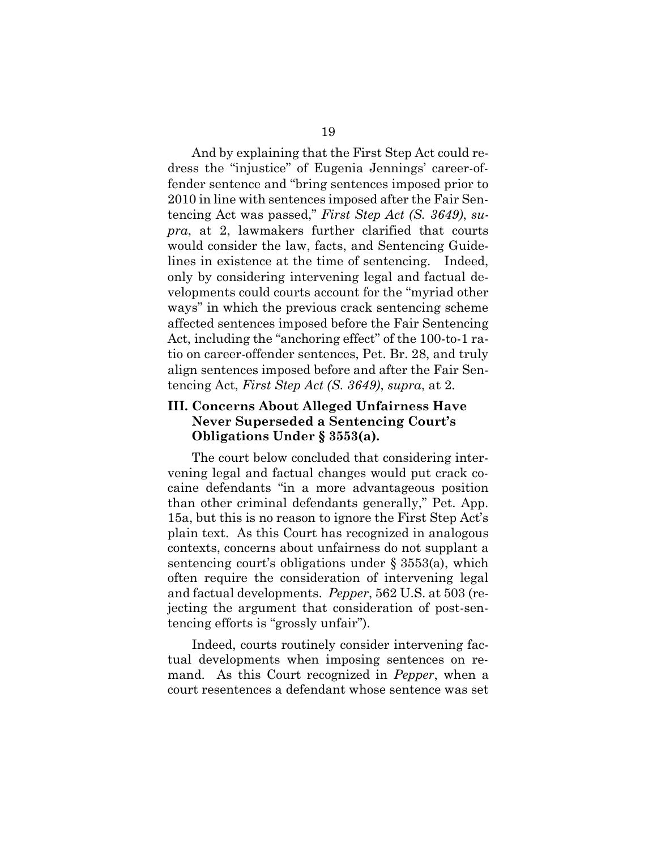And by explaining that the First Step Act could redress the "injustice" of Eugenia Jennings' career-offender sentence and "bring sentences imposed prior to 2010 in line with sentences imposed after the Fair Sentencing Act was passed," First Step Act (S. 3649), supra, at 2, lawmakers further clarified that courts would consider the law, facts, and Sentencing Guidelines in existence at the time of sentencing. Indeed, only by considering intervening legal and factual developments could courts account for the "myriad other ways" in which the previous crack sentencing scheme affected sentences imposed before the Fair Sentencing Act, including the "anchoring effect" of the 100-to-1 ratio on career-offender sentences, Pet. Br. 28, and truly align sentences imposed before and after the Fair Sentencing Act, First Step Act (S. 3649), supra, at 2.

### III. Concerns About Alleged Unfairness Have Never Superseded a Sentencing Court's Obligations Under § 3553(a).

The court below concluded that considering intervening legal and factual changes would put crack cocaine defendants "in a more advantageous position than other criminal defendants generally," Pet. App. 15a, but this is no reason to ignore the First Step Act's plain text. As this Court has recognized in analogous contexts, concerns about unfairness do not supplant a sentencing court's obligations under § 3553(a), which often require the consideration of intervening legal and factual developments. Pepper, 562 U.S. at 503 (rejecting the argument that consideration of post-sentencing efforts is "grossly unfair").

Indeed, courts routinely consider intervening factual developments when imposing sentences on remand. As this Court recognized in Pepper, when a court resentences a defendant whose sentence was set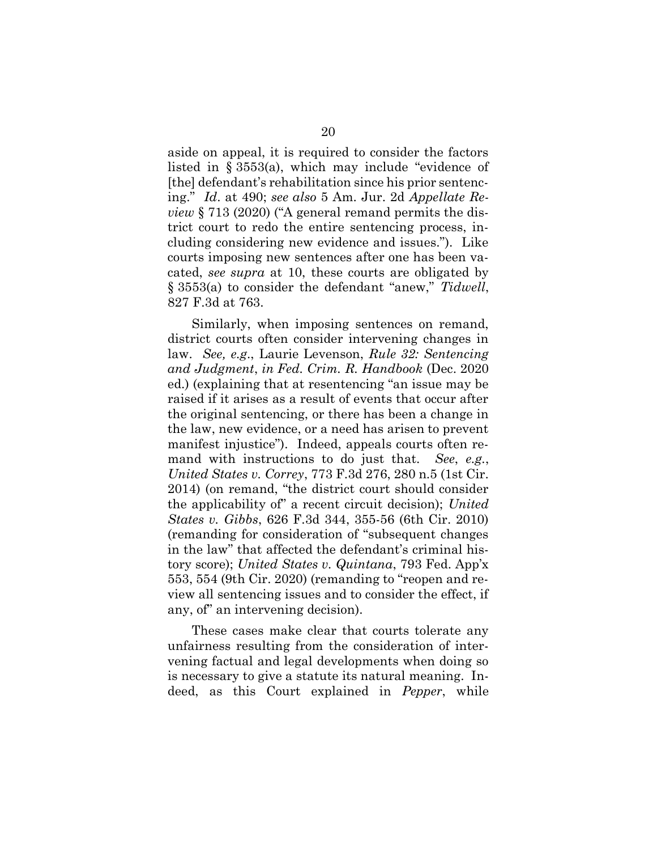aside on appeal, it is required to consider the factors listed in § 3553(a), which may include "evidence of [the] defendant's rehabilitation since his prior sentencing." Id. at 490; see also 5 Am. Jur. 2d Appellate Review § 713 (2020) ("A general remand permits the district court to redo the entire sentencing process, including considering new evidence and issues."). Like courts imposing new sentences after one has been vacated, see supra at 10, these courts are obligated by § 3553(a) to consider the defendant "anew," Tidwell, 827 F.3d at 763.

Similarly, when imposing sentences on remand, district courts often consider intervening changes in law. See, e.g., Laurie Levenson, Rule 32: Sentencing and Judgment, in Fed. Crim. R. Handbook (Dec. 2020 ed.) (explaining that at resentencing "an issue may be raised if it arises as a result of events that occur after the original sentencing, or there has been a change in the law, new evidence, or a need has arisen to prevent manifest injustice"). Indeed, appeals courts often remand with instructions to do just that. See, e.g., United States v. Correy, 773 F.3d 276, 280 n.5 (1st Cir. 2014) (on remand, "the district court should consider the applicability of" a recent circuit decision); United States v. Gibbs, 626 F.3d 344, 355-56 (6th Cir. 2010) (remanding for consideration of "subsequent changes in the law" that affected the defendant's criminal history score); United States v. Quintana, 793 Fed. App'x 553, 554 (9th Cir. 2020) (remanding to "reopen and review all sentencing issues and to consider the effect, if any, of" an intervening decision).

These cases make clear that courts tolerate any unfairness resulting from the consideration of intervening factual and legal developments when doing so is necessary to give a statute its natural meaning. Indeed, as this Court explained in Pepper, while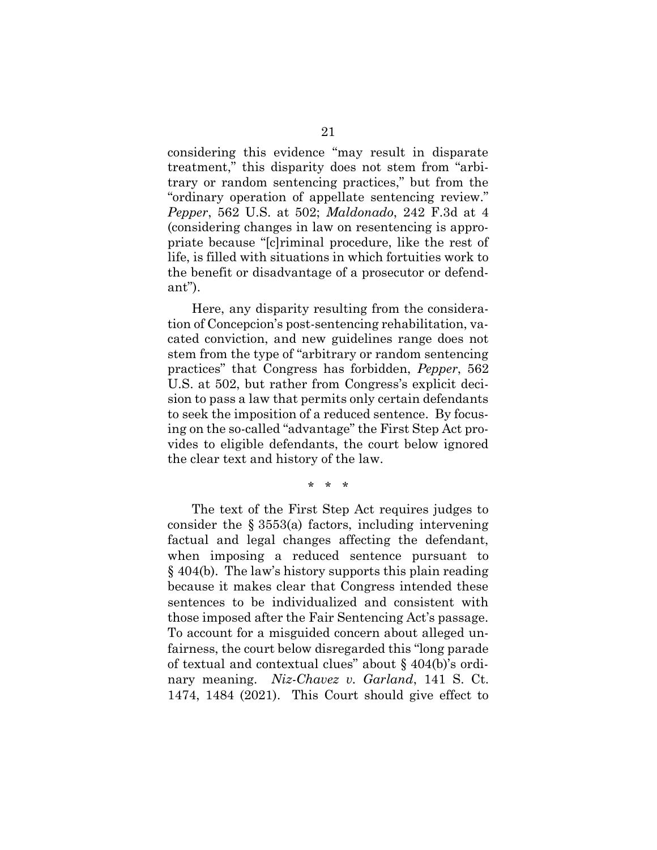considering this evidence "may result in disparate treatment," this disparity does not stem from "arbitrary or random sentencing practices," but from the "ordinary operation of appellate sentencing review." Pepper, 562 U.S. at 502; Maldonado, 242 F.3d at 4 (considering changes in law on resentencing is appropriate because "[c]riminal procedure, like the rest of life, is filled with situations in which fortuities work to the benefit or disadvantage of a prosecutor or defendant").

Here, any disparity resulting from the consideration of Concepcion's post-sentencing rehabilitation, vacated conviction, and new guidelines range does not stem from the type of "arbitrary or random sentencing practices" that Congress has forbidden, Pepper, 562 U.S. at 502, but rather from Congress's explicit decision to pass a law that permits only certain defendants to seek the imposition of a reduced sentence. By focusing on the so-called "advantage" the First Step Act provides to eligible defendants, the court below ignored the clear text and history of the law.

\* \* \*

The text of the First Step Act requires judges to consider the § 3553(a) factors, including intervening factual and legal changes affecting the defendant, when imposing a reduced sentence pursuant to § 404(b). The law's history supports this plain reading because it makes clear that Congress intended these sentences to be individualized and consistent with those imposed after the Fair Sentencing Act's passage. To account for a misguided concern about alleged unfairness, the court below disregarded this "long parade of textual and contextual clues" about § 404(b)'s ordinary meaning. Niz-Chavez v. Garland, 141 S. Ct. 1474, 1484 (2021). This Court should give effect to